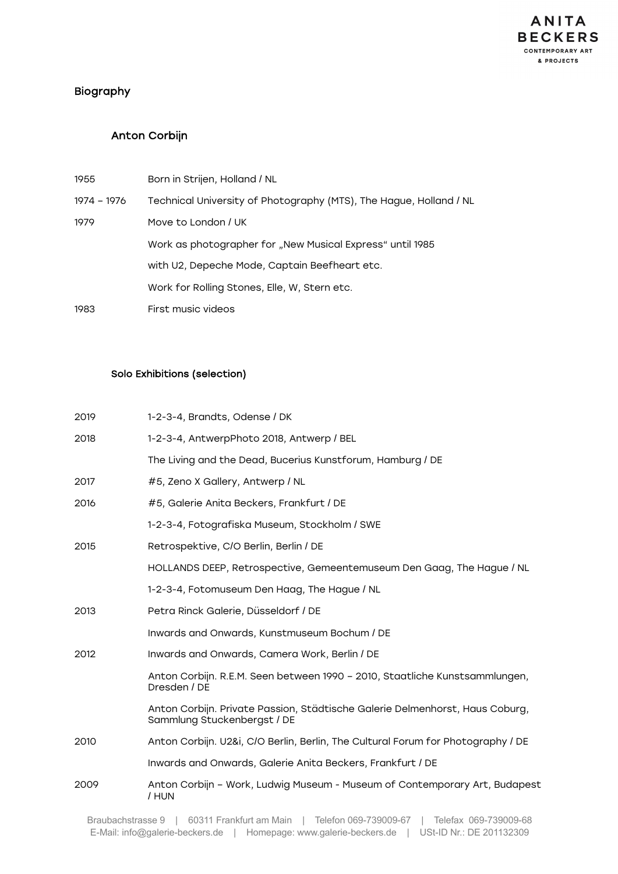# Biography

# Anton Corbijn

| 1955        | Born in Strijen, Holland / NL                                      |
|-------------|--------------------------------------------------------------------|
| 1974 – 1976 | Technical University of Photography (MTS), The Hague, Holland / NL |
| 1979        | Move to London / UK                                                |
|             | Work as photographer for "New Musical Express" until 1985          |
|             | with U2, Depeche Mode, Captain Beefheart etc.                      |
|             | Work for Rolling Stones, Elle, W. Stern etc.                       |
| 1983        | First music videos                                                 |

### Solo Exhibitions (selection)

| 2019 | 1-2-3-4, Brandts, Odense / DK                                                                               |
|------|-------------------------------------------------------------------------------------------------------------|
| 2018 | 1-2-3-4, AntwerpPhoto 2018, Antwerp / BEL                                                                   |
|      | The Living and the Dead, Bucerius Kunstforum, Hamburg / DE                                                  |
| 2017 | #5, Zeno X Gallery, Antwerp / NL                                                                            |
| 2016 | #5, Galerie Anita Beckers, Frankfurt / DE                                                                   |
|      | 1-2-3-4, Fotografiska Museum, Stockholm / SWE                                                               |
| 2015 | Retrospektive, C/O Berlin, Berlin / DE                                                                      |
|      | HOLLANDS DEEP, Retrospective, Gemeentemuseum Den Gaag, The Hague / NL                                       |
|      | 1-2-3-4, Fotomuseum Den Haag, The Hague / NL                                                                |
| 2013 | Petra Rinck Galerie, Düsseldorf / DE                                                                        |
|      | Inwards and Onwards, Kunstmuseum Bochum / DE                                                                |
| 2012 | Inwards and Onwards, Camera Work, Berlin / DE                                                               |
|      | Anton Corbijn. R.E.M. Seen between 1990 - 2010, Staatliche Kunstsammlungen,<br>Dresden / DE                 |
|      | Anton Corbijn. Private Passion, Städtische Galerie Delmenhorst, Haus Coburg,<br>Sammlung Stuckenbergst / DE |
| 2010 | Anton Corbijn. U2&i, C/O Berlin, Berlin, The Cultural Forum for Photography / DE                            |
|      | Inwards and Onwards, Galerie Anita Beckers, Frankfurt / DE                                                  |
| 2009 | Anton Corbijn - Work, Ludwig Museum - Museum of Contemporary Art, Budapest<br>/ HUN                         |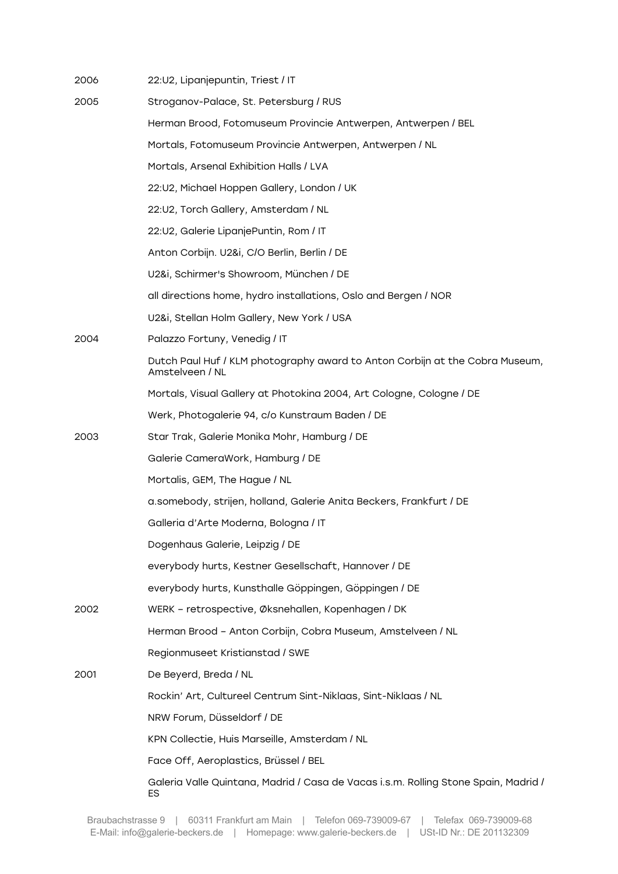| 2006 | 22:U2, Lipanjepuntin, Triest / IT                                                               |
|------|-------------------------------------------------------------------------------------------------|
| 2005 | Stroganov-Palace, St. Petersburg / RUS                                                          |
|      | Herman Brood, Fotomuseum Provincie Antwerpen, Antwerpen / BEL                                   |
|      | Mortals, Fotomuseum Provincie Antwerpen, Antwerpen / NL                                         |
|      | Mortals, Arsenal Exhibition Halls / LVA                                                         |
|      | 22:U2, Michael Hoppen Gallery, London / UK                                                      |
|      | 22:U2, Torch Gallery, Amsterdam / NL                                                            |
|      | 22:U2, Galerie LipanjePuntin, Rom / IT                                                          |
|      | Anton Corbijn. U2&i, C/O Berlin, Berlin / DE                                                    |
|      | U2&i, Schirmer's Showroom, München / DE                                                         |
|      | all directions home, hydro installations, Oslo and Bergen / NOR                                 |
|      | U2&i, Stellan Holm Gallery, New York / USA                                                      |
| 2004 | Palazzo Fortuny, Venedig / IT                                                                   |
|      | Dutch Paul Huf / KLM photography award to Anton Corbijn at the Cobra Museum,<br>Amstelveen / NL |
|      | Mortals, Visual Gallery at Photokina 2004, Art Cologne, Cologne / DE                            |
|      | Werk, Photogalerie 94, c/o Kunstraum Baden / DE                                                 |
| 2003 | Star Trak, Galerie Monika Mohr, Hamburg / DE                                                    |
|      | Galerie CameraWork, Hamburg / DE                                                                |
|      | Mortalis, GEM, The Hague / NL                                                                   |
|      | a.somebody, strijen, holland, Galerie Anita Beckers, Frankfurt / DE                             |
|      | Galleria d'Arte Moderna, Bologna / IT                                                           |
|      | Dogenhaus Galerie, Leipzig / DE                                                                 |
|      | everybody hurts, Kestner Gesellschaft, Hannover / DE                                            |
|      | everybody hurts, Kunsthalle Göppingen, Göppingen / DE                                           |
| 2002 | WERK - retrospective, Øksnehallen, Kopenhagen / DK                                              |
|      | Herman Brood - Anton Corbijn, Cobra Museum, Amstelveen / NL                                     |
|      | Regionmuseet Kristianstad / SWE                                                                 |
| 2001 | De Beyerd, Breda / NL                                                                           |
|      | Rockin' Art, Cultureel Centrum Sint-Niklaas, Sint-Niklaas / NL                                  |
|      | NRW Forum, Düsseldorf / DE                                                                      |
|      | KPN Collectie, Huis Marseille, Amsterdam / NL                                                   |
|      | Face Off, Aeroplastics, Brüssel / BEL                                                           |
|      | Galeria Valle Quintana, Madrid / Casa de Vacas i.s.m. Rolling Stone Spain, Madrid /<br>ES       |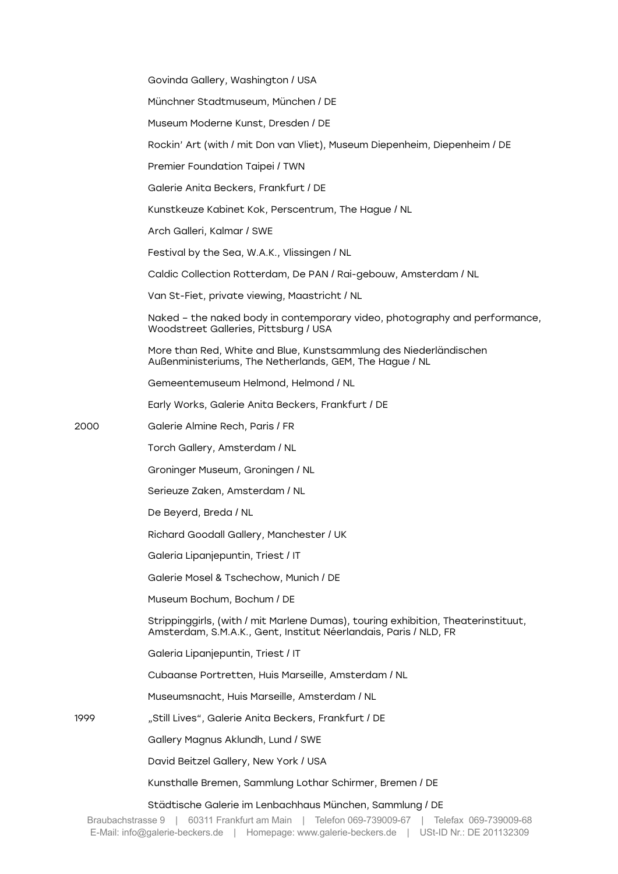|      | Govinda Gallery, Washington / USA                                                                                                                     |
|------|-------------------------------------------------------------------------------------------------------------------------------------------------------|
|      | Münchner Stadtmuseum, München / DE                                                                                                                    |
|      | Museum Moderne Kunst, Dresden / DE                                                                                                                    |
|      | Rockin' Art (with / mit Don van Vliet), Museum Diepenheim, Diepenheim / DE                                                                            |
|      | Premier Foundation Taipei / TWN                                                                                                                       |
|      | Galerie Anita Beckers, Frankfurt / DE                                                                                                                 |
|      | Kunstkeuze Kabinet Kok, Perscentrum, The Hague / NL                                                                                                   |
|      | Arch Galleri, Kalmar / SWE                                                                                                                            |
|      | Festival by the Sea, W.A.K., Vlissingen / NL                                                                                                          |
|      | Caldic Collection Rotterdam, De PAN / Rai-gebouw, Amsterdam / NL                                                                                      |
|      | Van St-Fiet, private viewing, Maastricht / NL                                                                                                         |
|      | Naked - the naked body in contemporary video, photography and performance,<br>Woodstreet Galleries, Pittsburg / USA                                   |
|      | More than Red, White and Blue, Kunstsammlung des Niederländischen<br>Außenministeriums, The Netherlands, GEM, The Hague / NL                          |
|      | Gemeentemuseum Helmond, Helmond / NL                                                                                                                  |
|      | Early Works, Galerie Anita Beckers, Frankfurt / DE                                                                                                    |
| 2000 | Galerie Almine Rech, Paris / FR                                                                                                                       |
|      | Torch Gallery, Amsterdam / NL                                                                                                                         |
|      | Groninger Museum, Groningen / NL                                                                                                                      |
|      | Serieuze Zaken, Amsterdam / NL                                                                                                                        |
|      | De Beyerd, Breda / NL                                                                                                                                 |
|      | Richard Goodall Gallery, Manchester / UK                                                                                                              |
|      | Galeria Lipanjepuntin, Triest / IT                                                                                                                    |
|      | Galerie Mosel & Tschechow, Munich / DE                                                                                                                |
|      | Museum Bochum, Bochum / DE                                                                                                                            |
|      | Strippinggirls, (with / mit Marlene Dumas), touring exhibition, Theaterinstituut,<br>Amsterdam, S.M.A.K., Gent, Institut Néerlandais, Paris / NLD, FR |
|      | Galeria Lipanjepuntin, Triest / IT                                                                                                                    |
|      | Cubaanse Portretten, Huis Marseille, Amsterdam / NL                                                                                                   |
|      | Museumsnacht, Huis Marseille, Amsterdam / NL                                                                                                          |
| 1999 | "Still Lives", Galerie Anita Beckers, Frankfurt / DE                                                                                                  |
|      | Gallery Magnus Aklundh, Lund / SWE                                                                                                                    |
|      | David Beitzel Gallery, New York / USA                                                                                                                 |
|      | Kunsthalle Bremen, Sammlung Lothar Schirmer, Bremen / DE                                                                                              |
|      | Städtische Galerie im Lenbachhaus München, Sammlung / DE                                                                                              |

2000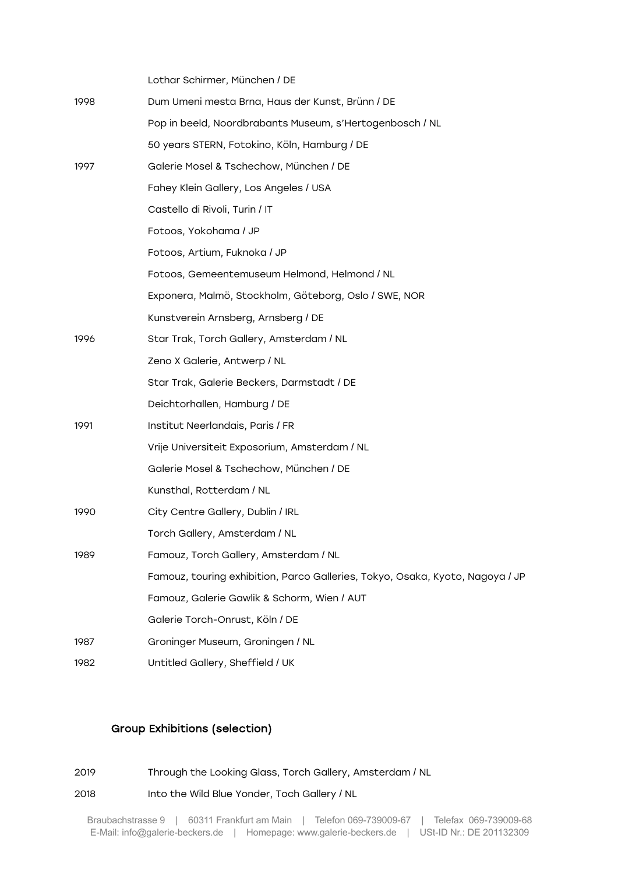|      | Lothar Schirmer, München / DE                                                 |
|------|-------------------------------------------------------------------------------|
| 1998 | Dum Umeni mesta Brna, Haus der Kunst, Brünn / DE                              |
|      | Pop in beeld, Noordbrabants Museum, s'Hertogenbosch / NL                      |
|      | 50 years STERN, Fotokino, Köln, Hamburg / DE                                  |
| 1997 | Galerie Mosel & Tschechow, München / DE                                       |
|      | Fahey Klein Gallery, Los Angeles / USA                                        |
|      | Castello di Rivoli, Turin / IT                                                |
|      | Fotoos, Yokohama / JP                                                         |
|      | Fotoos, Artium, Fuknoka / JP                                                  |
|      | Fotoos, Gemeentemuseum Helmond, Helmond / NL                                  |
|      | Exponera, Malmö, Stockholm, Göteborg, Oslo / SWE, NOR                         |
|      | Kunstverein Arnsberg, Arnsberg / DE                                           |
| 1996 | Star Trak, Torch Gallery, Amsterdam / NL                                      |
|      | Zeno X Galerie, Antwerp / NL                                                  |
|      | Star Trak, Galerie Beckers, Darmstadt / DE                                    |
|      | Deichtorhallen, Hamburg / DE                                                  |
| 1991 | Institut Neerlandais, Paris / FR                                              |
|      | Vrije Universiteit Exposorium, Amsterdam / NL                                 |
|      | Galerie Mosel & Tschechow, München / DE                                       |
|      | Kunsthal, Rotterdam / NL                                                      |
| 1990 | City Centre Gallery, Dublin / IRL                                             |
|      | Torch Gallery, Amsterdam / NL                                                 |
| 1989 | Famouz, Torch Gallery, Amsterdam / NL                                         |
|      | Famouz, touring exhibition, Parco Galleries, Tokyo, Osaka, Kyoto, Nagoya / JP |
|      | Famouz, Galerie Gawlik & Schorm, Wien / AUT                                   |
|      | Galerie Torch-Onrust, Köln / DE                                               |
| 1987 | Groninger Museum, Groningen / NL                                              |
| 1982 | Untitled Gallery, Sheffield / UK                                              |

# Group Exhibitions (selection)

# 2019 Through the Looking Glass, Torch Gallery, Amsterdam / NL

2018 Into the Wild Blue Yonder, Toch Gallery / NL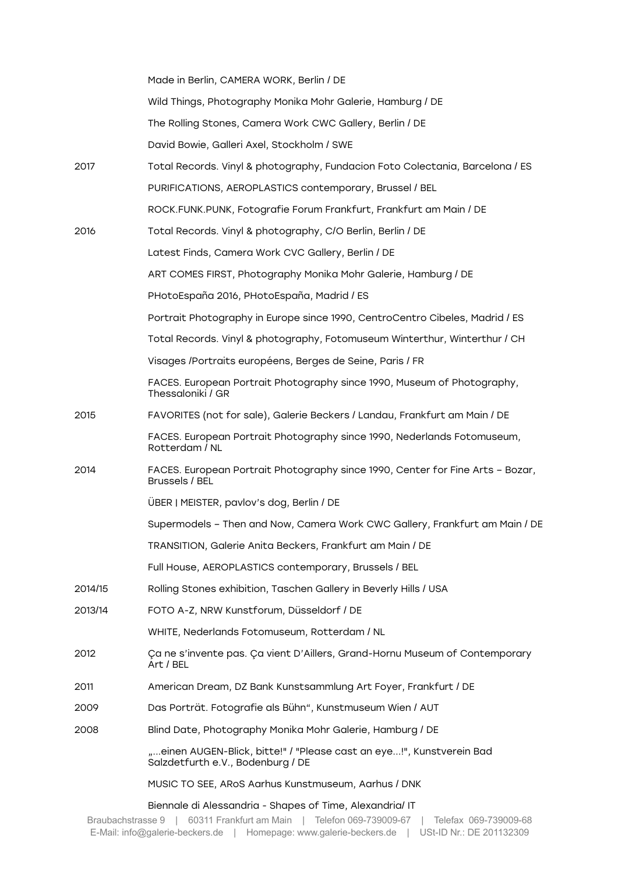|         | Made in Berlin, CAMERA WORK, Berlin / DE                                                                  |
|---------|-----------------------------------------------------------------------------------------------------------|
|         | Wild Things, Photography Monika Mohr Galerie, Hamburg / DE                                                |
|         | The Rolling Stones, Camera Work CWC Gallery, Berlin / DE                                                  |
|         | David Bowie, Galleri Axel, Stockholm / SWE                                                                |
| 2017    | Total Records. Vinyl & photography, Fundacion Foto Colectania, Barcelona / ES                             |
|         | PURIFICATIONS, AEROPLASTICS contemporary, Brussel / BEL                                                   |
|         | ROCK.FUNK.PUNK, Fotografie Forum Frankfurt, Frankfurt am Main / DE                                        |
| 2016    | Total Records. Vinyl & photography, C/O Berlin, Berlin / DE                                               |
|         | Latest Finds, Camera Work CVC Gallery, Berlin / DE                                                        |
|         | ART COMES FIRST, Photography Monika Mohr Galerie, Hamburg / DE                                            |
|         | PHotoEspaña 2016, PHotoEspaña, Madrid / ES                                                                |
|         | Portrait Photography in Europe since 1990, CentroCentro Cibeles, Madrid / ES                              |
|         | Total Records. Vinyl & photography, Fotomuseum Winterthur, Winterthur / CH                                |
|         | Visages /Portraits européens, Berges de Seine, Paris / FR                                                 |
|         | FACES. European Portrait Photography since 1990, Museum of Photography,<br>Thessaloniki / GR              |
| 2015    | FAVORITES (not for sale), Galerie Beckers / Landau, Frankfurt am Main / DE                                |
|         | FACES. European Portrait Photography since 1990, Nederlands Fotomuseum,<br>Rotterdam / NL                 |
| 2014    | FACES. European Portrait Photography since 1990, Center for Fine Arts - Bozar,<br>Brussels / BEL          |
|         | ÜBER   MEISTER, pavlov's dog, Berlin / DE                                                                 |
|         | Supermodels - Then and Now, Camera Work CWC Gallery, Frankfurt am Main / DE                               |
|         | TRANSITION, Galerie Anita Beckers, Frankfurt am Main / DE                                                 |
|         | Full House, AEROPLASTICS contemporary, Brussels / BEL                                                     |
| 2014/15 | Rolling Stones exhibition, Taschen Gallery in Beverly Hills / USA                                         |
| 2013/14 | FOTO A-Z, NRW Kunstforum, Düsseldorf / DE                                                                 |
|         | WHITE, Nederlands Fotomuseum, Rotterdam / NL                                                              |
| 2012    | Ça ne s'invente pas. Ça vient D'Aillers, Grand-Hornu Museum of Contemporary<br>Art / BEL                  |
| 2011    | American Dream, DZ Bank Kunstsammlung Art Foyer, Frankfurt / DE                                           |
| 2009    | Das Porträt. Fotografie als Bühn", Kunstmuseum Wien / AUT                                                 |
| 2008    | Blind Date, Photography Monika Mohr Galerie, Hamburg / DE                                                 |
|         | "einen AUGEN-Blick, bitte!" / "Please cast an eye!", Kunstverein Bad<br>Salzdetfurth e.V., Bodenburg / DE |
|         | MUSIC TO SEE, ARoS Aarhus Kunstmuseum, Aarhus / DNK                                                       |
|         | Biennale di Alessandria - Shapes of Time, Alexandria/ IT                                                  |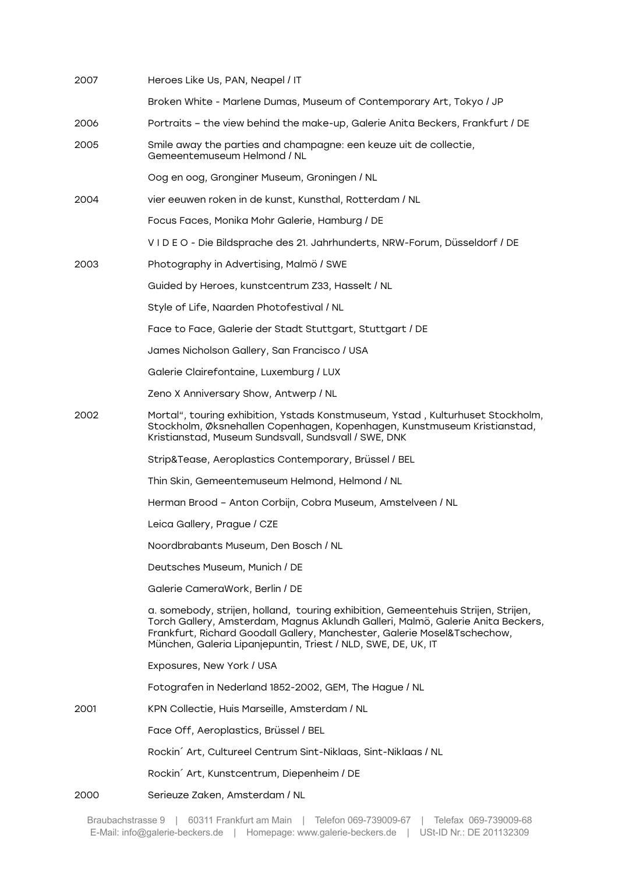| 2007 | Heroes Like Us, PAN, Neapel / IT                                                                                                                                                                                                                                                                                  |
|------|-------------------------------------------------------------------------------------------------------------------------------------------------------------------------------------------------------------------------------------------------------------------------------------------------------------------|
|      | Broken White - Marlene Dumas, Museum of Contemporary Art, Tokyo / JP                                                                                                                                                                                                                                              |
| 2006 | Portraits - the view behind the make-up, Galerie Anita Beckers, Frankfurt / DE                                                                                                                                                                                                                                    |
| 2005 | Smile away the parties and champagne: een keuze uit de collectie,<br>Gemeentemuseum Helmond / NL                                                                                                                                                                                                                  |
|      | Oog en oog, Gronginer Museum, Groningen / NL                                                                                                                                                                                                                                                                      |
| 2004 | vier eeuwen roken in de kunst, Kunsthal, Rotterdam / NL                                                                                                                                                                                                                                                           |
|      | Focus Faces, Monika Mohr Galerie, Hamburg / DE                                                                                                                                                                                                                                                                    |
|      | VIDEO - Die Bildsprache des 21. Jahrhunderts, NRW-Forum, Düsseldorf / DE                                                                                                                                                                                                                                          |
| 2003 | Photography in Advertising, Malmö / SWE                                                                                                                                                                                                                                                                           |
|      | Guided by Heroes, kunstcentrum Z33, Hasselt / NL                                                                                                                                                                                                                                                                  |
|      | Style of Life, Naarden Photofestival / NL                                                                                                                                                                                                                                                                         |
|      | Face to Face, Galerie der Stadt Stuttgart, Stuttgart / DE                                                                                                                                                                                                                                                         |
|      | James Nicholson Gallery, San Francisco / USA                                                                                                                                                                                                                                                                      |
|      | Galerie Clairefontaine, Luxemburg / LUX                                                                                                                                                                                                                                                                           |
|      | Zeno X Anniversary Show, Antwerp / NL                                                                                                                                                                                                                                                                             |
| 2002 | Mortal", touring exhibition, Ystads Konstmuseum, Ystad, Kulturhuset Stockholm,<br>Stockholm, Øksnehallen Copenhagen, Kopenhagen, Kunstmuseum Kristianstad,<br>Kristianstad, Museum Sundsvall, Sundsvall / SWE, DNK                                                                                                |
|      | Strip&Tease, Aeroplastics Contemporary, Brüssel / BEL                                                                                                                                                                                                                                                             |
|      | Thin Skin, Gemeentemuseum Helmond, Helmond / NL                                                                                                                                                                                                                                                                   |
|      | Herman Brood - Anton Corbijn, Cobra Museum, Amstelveen / NL                                                                                                                                                                                                                                                       |
|      | Leica Gallery, Prague / CZE                                                                                                                                                                                                                                                                                       |
|      | Noordbrabants Museum, Den Bosch / NL                                                                                                                                                                                                                                                                              |
|      | Deutsches Museum, Munich / DE                                                                                                                                                                                                                                                                                     |
|      | Galerie CameraWork, Berlin / DE                                                                                                                                                                                                                                                                                   |
|      | a. somebody, strijen, holland, touring exhibition, Gemeentehuis Strijen, Strijen,<br>Torch Gallery, Amsterdam, Magnus Aklundh Galleri, Malmö, Galerie Anita Beckers,<br>Frankfurt, Richard Goodall Gallery, Manchester, Galerie Mosel&Tschechow,<br>München, Galeria Lipanjepuntin, Triest / NLD, SWE, DE, UK, IT |
|      | Exposures, New York / USA                                                                                                                                                                                                                                                                                         |
|      | Fotografen in Nederland 1852-2002, GEM, The Hague / NL                                                                                                                                                                                                                                                            |
| 2001 | KPN Collectie, Huis Marseille, Amsterdam / NL                                                                                                                                                                                                                                                                     |
|      | Face Off, Aeroplastics, Brüssel / BEL                                                                                                                                                                                                                                                                             |
|      | Rockin' Art, Cultureel Centrum Sint-Niklaas, Sint-Niklaas / NL                                                                                                                                                                                                                                                    |
|      | Rockin Art, Kunstcentrum, Diepenheim / DE                                                                                                                                                                                                                                                                         |
| 2000 | Serieuze Zaken, Amsterdam / NL                                                                                                                                                                                                                                                                                    |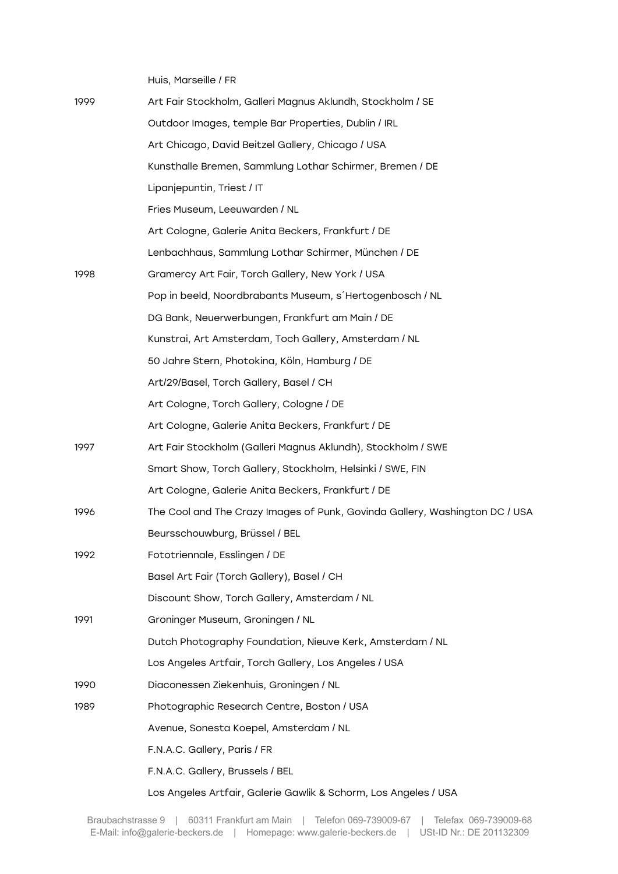|      | Huis, Marseille / FR                                                        |
|------|-----------------------------------------------------------------------------|
| 1999 | Art Fair Stockholm, Galleri Magnus Aklundh, Stockholm / SE                  |
|      | Outdoor Images, temple Bar Properties, Dublin / IRL                         |
|      | Art Chicago, David Beitzel Gallery, Chicago / USA                           |
|      | Kunsthalle Bremen, Sammlung Lothar Schirmer, Bremen / DE                    |
|      | Lipanjepuntin, Triest / IT                                                  |
|      | Fries Museum, Leeuwarden / NL                                               |
|      | Art Cologne, Galerie Anita Beckers, Frankfurt / DE                          |
|      | Lenbachhaus, Sammlung Lothar Schirmer, München / DE                         |
| 1998 | Gramercy Art Fair, Torch Gallery, New York / USA                            |
|      | Pop in beeld, Noordbrabants Museum, s'Hertogenbosch / NL                    |
|      | DG Bank, Neuerwerbungen, Frankfurt am Main / DE                             |
|      | Kunstrai, Art Amsterdam, Toch Gallery, Amsterdam / NL                       |
|      | 50 Jahre Stern, Photokina, Köln, Hamburg / DE                               |
|      | Art/29/Basel, Torch Gallery, Basel / CH                                     |
|      | Art Cologne, Torch Gallery, Cologne / DE                                    |
|      | Art Cologne, Galerie Anita Beckers, Frankfurt / DE                          |
| 1997 | Art Fair Stockholm (Galleri Magnus Aklundh), Stockholm / SWE                |
|      | Smart Show, Torch Gallery, Stockholm, Helsinki / SWE, FIN                   |
|      | Art Cologne, Galerie Anita Beckers, Frankfurt / DE                          |
| 1996 | The Cool and The Crazy Images of Punk, Govinda Gallery, Washington DC / USA |
|      | Beursschouwburg, Brüssel / BEL                                              |
| 1992 | Fototriennale, Esslingen / DE                                               |
|      | Basel Art Fair (Torch Gallery), Basel / CH                                  |
|      | Discount Show, Torch Gallery, Amsterdam / NL                                |
| 1991 | Groninger Museum, Groningen / NL                                            |
|      | Dutch Photography Foundation, Nieuve Kerk, Amsterdam / NL                   |
|      | Los Angeles Artfair, Torch Gallery, Los Angeles / USA                       |
| 1990 | Diaconessen Ziekenhuis, Groningen / NL                                      |
| 1989 | Photographic Research Centre, Boston / USA                                  |
|      | Avenue, Sonesta Koepel, Amsterdam / NL                                      |
|      | F.N.A.C. Gallery, Paris / FR                                                |
|      | F.N.A.C. Gallery, Brussels / BEL                                            |
|      | Los Angeles Artfair, Galerie Gawlik & Schorm, Los Angeles / USA             |